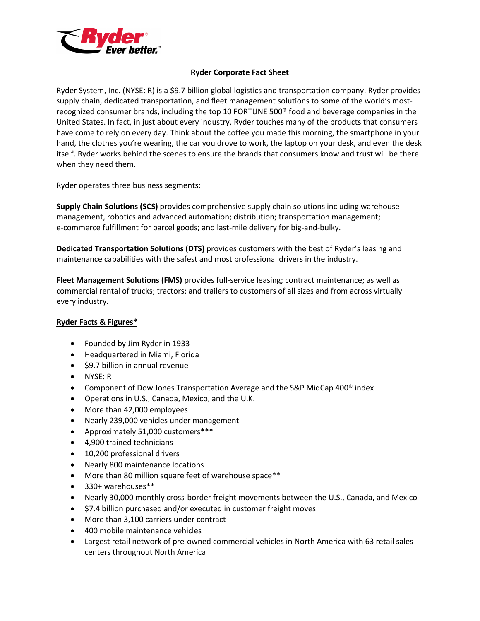

## **Ryder Corporate Fact Sheet**

 Ryder System, Inc. (NYSE: R) is a \$9.7 billion global logistics and transportation company. Ryder provides supply chain, dedicated transportation, and fleet management solutions to some of the world's most- United States. In fact, in just about every industry, Ryder touches many of the products that consumers have come to rely on every day. Think about the coffee you made this morning, the smartphone in your hand, the clothes you're wearing, the car you drove to work, the laptop on your desk, and even the desk itself. Ryder works behind the scenes to ensure the brands that consumers know and trust will be there when they need them. recognized consumer brands, including the top 10 FORTUNE 500® food and beverage companies in the

Ryder operates three business segments:

 **Supply Chain Solutions (SCS)** provides comprehensive supply chain solutions including warehouse management, robotics and advanced automation; distribution; transportation management; e-commerce fulfillment for parcel goods; and last-mile delivery for big-and-bulky.

 maintenance capabilities with the safest and most professional drivers in the industry. **Dedicated Transportation Solutions (DTS)** provides customers with the best of Ryder's leasing and

 commercial rental of trucks; tractors; and trailers to customers of all sizes and from across virtually **Fleet Management Solutions (FMS)** provides full-service leasing; contract maintenance; as well as every industry.

## **Ryder Facts & Figures\***

- Founded by Jim Ryder in 1933
- Headquartered in Miami, Florida
- \$9.7 billion in annual revenue
- NYSE: R
- Component of Dow Jones Transportation Average and the S&P MidCap 400<sup>®</sup> index
- Operations in U.S., Canada, Mexico, and the U.K.
- More than 42,000 employees
- Nearly 239,000 vehicles under management
- Approximately 51,000 customers\*\*\*
- 4,900 trained technicians
- 10,200 professional drivers
- Nearly 800 maintenance locations
- More than 80 million square feet of warehouse space\*\*
- 330+ warehouses\*\*
- Nearly 30,000 monthly cross-border freight movements between the U.S., Canada, and Mexico
- \$7.4 billion purchased and/or executed in customer freight moves
- More than 3,100 carriers under contract
- 400 mobile maintenance vehicles
- • Largest retail network of pre-owned commercial vehicles in North America with 63 retail sales centers throughout North America